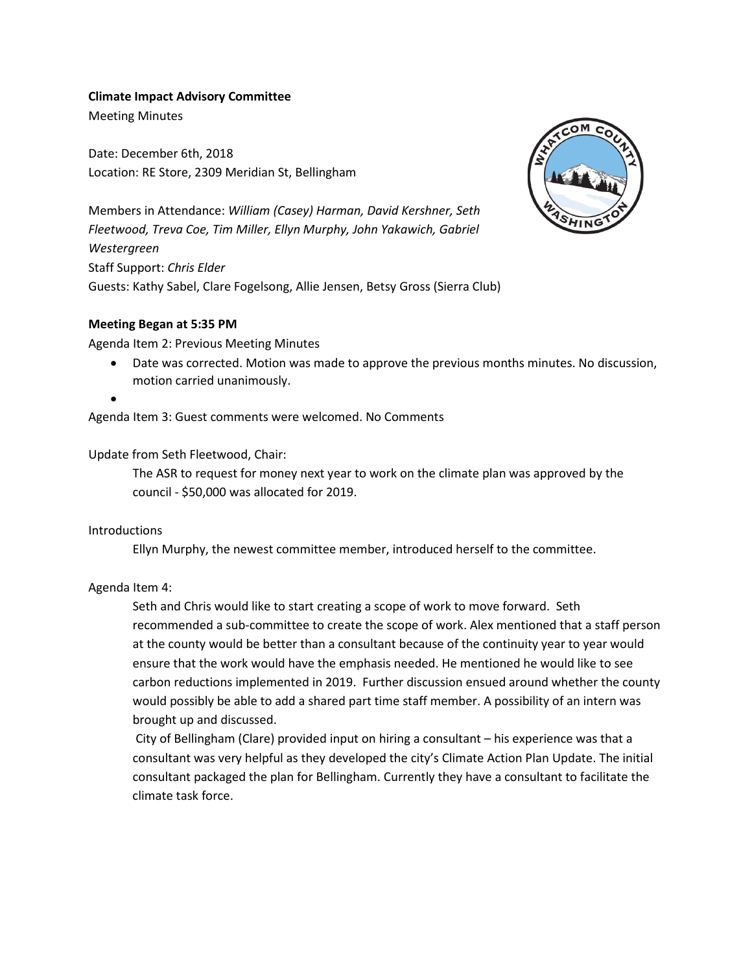# **Climate Impact Advisory Committee**

Meeting Minutes

Date: December 6th, 2018 Location: RE Store, 2309 Meridian St, Bellingham



Members in Attendance: *William (Casey) Harman, David Kershner, Seth Fleetwood, Treva Coe, Tim Miller, Ellyn Murphy, John Yakawich, Gabriel Westergreen* Staff Support: *Chris Elder* Guests: Kathy Sabel, Clare Fogelsong, Allie Jensen, Betsy Gross (Sierra Club)

## **Meeting Began at 5:35 PM**

Agenda Item 2: Previous Meeting Minutes

- Date was corrected. Motion was made to approve the previous months minutes. No discussion, motion carried unanimously.
- •

Agenda Item 3: Guest comments were welcomed. No Comments

## Update from Seth Fleetwood, Chair:

The ASR to request for money next year to work on the climate plan was approved by the council - \$50,000 was allocated for 2019.

### **Introductions**

Ellyn Murphy, the newest committee member, introduced herself to the committee.

# Agenda Item 4:

Seth and Chris would like to start creating a scope of work to move forward. Seth recommended a sub-committee to create the scope of work. Alex mentioned that a staff person at the county would be better than a consultant because of the continuity year to year would ensure that the work would have the emphasis needed. He mentioned he would like to see carbon reductions implemented in 2019. Further discussion ensued around whether the county would possibly be able to add a shared part time staff member. A possibility of an intern was brought up and discussed.

City of Bellingham (Clare) provided input on hiring a consultant – his experience was that a consultant was very helpful as they developed the city's Climate Action Plan Update. The initial consultant packaged the plan for Bellingham. Currently they have a consultant to facilitate the climate task force.